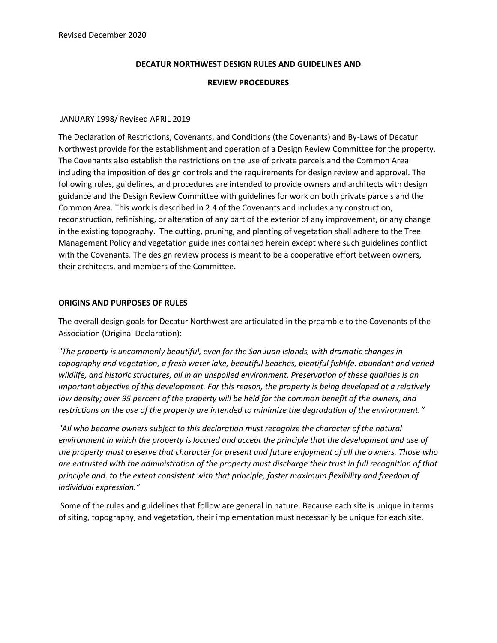## **DECATUR NORTHWEST DESIGN RULES AND GUIDELINES AND**

### **REVIEW PROCEDURES**

### JANUARY 1998/ Revised APRIL 2019

The Declaration of Restrictions, Covenants, and Conditions (the Covenants) and By-Laws of Decatur Northwest provide for the establishment and operation of a Design Review Committee for the property. The Covenants also establish the restrictions on the use of private parcels and the Common Area including the imposition of design controls and the requirements for design review and approval. The following rules, guidelines, and procedures are intended to provide owners and architects with design guidance and the Design Review Committee with guidelines for work on both private parcels and the Common Area. This work is described in 2.4 of the Covenants and includes any construction, reconstruction, refinishing, or alteration of any part of the exterior of any improvement, or any change in the existing topography. The cutting, pruning, and planting of vegetation shall adhere to the Tree Management Policy and vegetation guidelines contained herein except where such guidelines conflict with the Covenants. The design review process is meant to be a cooperative effort between owners, their architects, and members of the Committee.

## **ORIGINS AND PURPOSES OF RULES**

The overall design goals for Decatur Northwest are articulated in the preamble to the Covenants of the Association (Original Declaration):

*"The property is uncommonly beautiful, even for the San Juan Islands, with dramatic changes in topography and vegetation, a fresh water lake, beautiful beaches, plentiful fishlife. abundant and varied wildlife, and historic structures, all in an unspoiled environment. Preservation of these qualities is an important objective of this development. For this reason, the property is being developed at a relatively low density; over 95 percent of the property will be held for the common benefit of the owners, and restrictions on the use of the property are intended to minimize the degradation of the environment."*

*"All who become owners subject to this declaration must recognize the character of the natural environment in which the property is located and accept the principle that the development and use of the property must preserve that character for present and future enjoyment of all the owners. Those who are entrusted with the administration of the property must discharge their trust in full recognition of that principle and. to the extent consistent with that principle, foster maximum flexibility and freedom of individual expression."*

Some of the rules and guidelines that follow are general in nature. Because each site is unique in terms of siting, topography, and vegetation, their implementation must necessarily be unique for each site.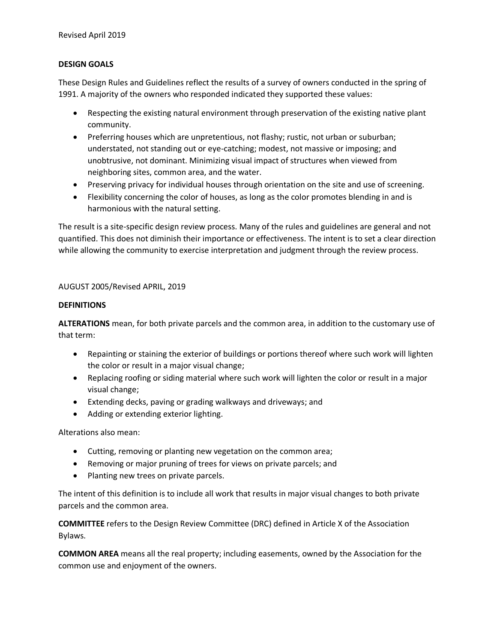# **DESIGN GOALS**

These Design Rules and Guidelines reflect the results of a survey of owners conducted in the spring of 1991. A majority of the owners who responded indicated they supported these values:

- Respecting the existing natural environment through preservation of the existing native plant community.
- Preferring houses which are unpretentious, not flashy; rustic, not urban or suburban; understated, not standing out or eye-catching; modest, not massive or imposing; and unobtrusive, not dominant. Minimizing visual impact of structures when viewed from neighboring sites, common area, and the water.
- Preserving privacy for individual houses through orientation on the site and use of screening.
- Flexibility concerning the color of houses, as long as the color promotes blending in and is harmonious with the natural setting.

The result is a site-specific design review process. Many of the rules and guidelines are general and not quantified. This does not diminish their importance or effectiveness. The intent is to set a clear direction while allowing the community to exercise interpretation and judgment through the review process.

# AUGUST 2005/Revised APRIL, 2019

# **DEFINITIONS**

**ALTERATIONS** mean, for both private parcels and the common area, in addition to the customary use of that term:

- Repainting or staining the exterior of buildings or portions thereof where such work will lighten the color or result in a major visual change;
- Replacing roofing or siding material where such work will lighten the color or result in a major visual change;
- Extending decks, paving or grading walkways and driveways; and
- Adding or extending exterior lighting.

Alterations also mean:

- Cutting, removing or planting new vegetation on the common area;
- Removing or major pruning of trees for views on private parcels; and
- Planting new trees on private parcels.

The intent of this definition is to include all work that results in major visual changes to both private parcels and the common area.

**COMMITTEE** refers to the Design Review Committee (DRC) defined in Article X of the Association Bylaws.

**COMMON AREA** means all the real property; including easements, owned by the Association for the common use and enjoyment of the owners.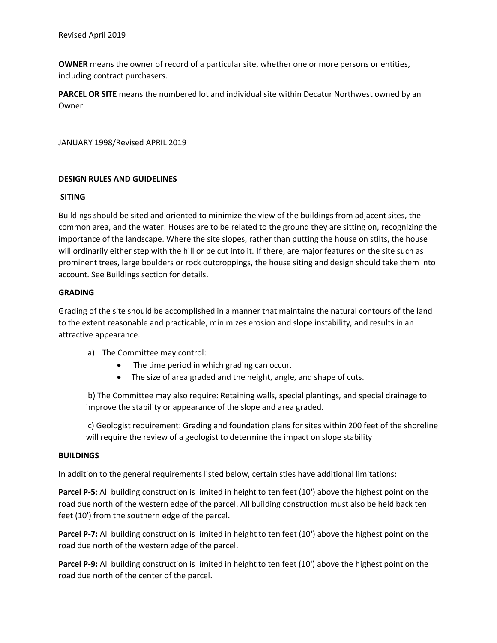**OWNER** means the owner of record of a particular site, whether one or more persons or entities, including contract purchasers.

**PARCEL OR SITE** means the numbered lot and individual site within Decatur Northwest owned by an Owner.

JANUARY 1998/Revised APRIL 2019

# **DESIGN RULES AND GUIDELINES**

## **SITING**

Buildings should be sited and oriented to minimize the view of the buildings from adjacent sites, the common area, and the water. Houses are to be related to the ground they are sitting on, recognizing the importance of the landscape. Where the site slopes, rather than putting the house on stilts, the house will ordinarily either step with the hill or be cut into it. If there, are major features on the site such as prominent trees, large boulders or rock outcroppings, the house siting and design should take them into account. See Buildings section for details.

## **GRADING**

Grading of the site should be accomplished in a manner that maintains the natural contours of the land to the extent reasonable and practicable, minimizes erosion and slope instability, and results in an attractive appearance.

- a) The Committee may control:
	- The time period in which grading can occur.
	- The size of area graded and the height, angle, and shape of cuts.

b) The Committee may also require: Retaining walls, special plantings, and special drainage to improve the stability or appearance of the slope and area graded.

c) Geologist requirement: Grading and foundation plans for sites within 200 feet of the shoreline will require the review of a geologist to determine the impact on slope stability

# **BUILDINGS**

In addition to the general requirements listed below, certain sties have additional limitations:

**Parcel P-5**: All building construction is limited in height to ten feet (10') above the highest point on the road due north of the western edge of the parcel. All building construction must also be held back ten feet (10') from the southern edge of the parcel.

**Parcel P-7:** All building construction is limited in height to ten feet (10') above the highest point on the road due north of the western edge of the parcel.

**Parcel P-9:** All building construction is limited in height to ten feet (10') above the highest point on the road due north of the center of the parcel.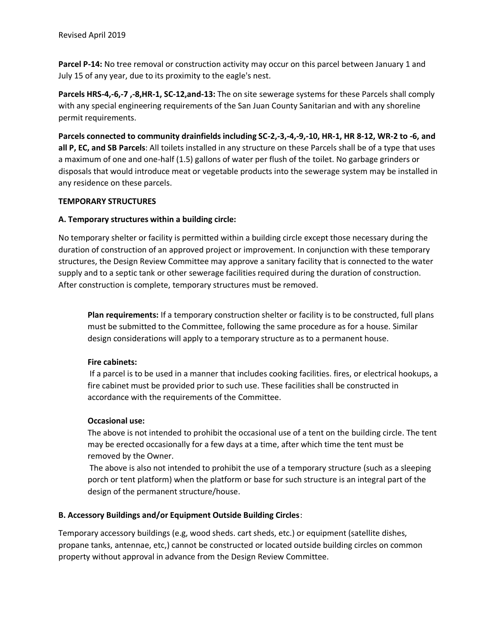**Parcel P-14:** No tree removal or construction activity may occur on this parcel between January 1 and July 15 of any year, due to its proximity to the eagle's nest.

**Parcels HRS-4,-6,-7 ,-8,HR-1, SC-12,and-13:** The on site sewerage systems for these Parcels shall comply with any special engineering requirements of the San Juan County Sanitarian and with any shoreline permit requirements.

**Parcels connected to community drainfields including SC-2,-3,-4,-9,-10, HR-1, HR 8-12, WR-2 to -6, and all P, EC, and SB Parcels**: All toilets installed in any structure on these Parcels shall be of a type that uses a maximum of one and one-half (1.5) gallons of water per flush of the toilet. No garbage grinders or disposals that would introduce meat or vegetable products into the sewerage system may be installed in any residence on these parcels.

# **TEMPORARY STRUCTURES**

# **A. Temporary structures within a building circle:**

No temporary shelter or facility is permitted within a building circle except those necessary during the duration of construction of an approved project or improvement. In conjunction with these temporary structures, the Design Review Committee may approve a sanitary facility that is connected to the water supply and to a septic tank or other sewerage facilities required during the duration of construction. After construction is complete, temporary structures must be removed.

**Plan requirements:** If a temporary construction shelter or facility is to be constructed, full plans must be submitted to the Committee, following the same procedure as for a house. Similar design considerations will apply to a temporary structure as to a permanent house.

# **Fire cabinets:**

If a parcel is to be used in a manner that includes cooking facilities. fires, or electrical hookups, a fire cabinet must be provided prior to such use. These facilities shall be constructed in accordance with the requirements of the Committee.

# **Occasional use:**

The above is not intended to prohibit the occasional use of a tent on the building circle. The tent may be erected occasionally for a few days at a time, after which time the tent must be removed by the Owner.

The above is also not intended to prohibit the use of a temporary structure (such as a sleeping porch or tent platform) when the platform or base for such structure is an integral part of the design of the permanent structure/house.

# **B. Accessory Buildings and/or Equipment Outside Building Circles**:

Temporary accessory buildings (e.g, wood sheds. cart sheds, etc.) or equipment (satellite dishes, propane tanks, antennae, etc,) cannot be constructed or located outside building circles on common property without approval in advance from the Design Review Committee.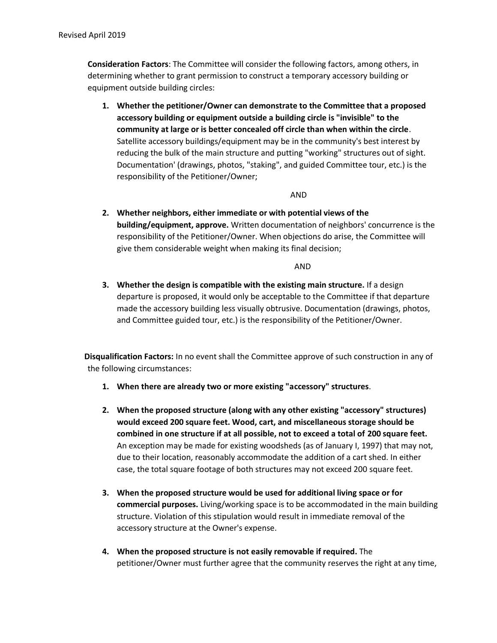**Consideration Factors**: The Committee will consider the following factors, among others, in determining whether to grant permission to construct a temporary accessory building or equipment outside building circles:

**1. Whether the petitioner/Owner can demonstrate to the Committee that a proposed accessory building or equipment outside a building circle is "invisible" to the community at large or is better concealed off circle than when within the circle**. Satellite accessory buildings/equipment may be in the community's best interest by reducing the bulk of the main structure and putting "working" structures out of sight. Documentation' (drawings, photos, "staking", and guided Committee tour, etc.) is the responsibility of the Petitioner/Owner;

# AND

**2. Whether neighbors, either immediate or with potential views of the building/equipment, approve.** Written documentation of neighbors' concurrence is the responsibility of the Petitioner/Owner. When objections do arise, the Committee will give them considerable weight when making its final decision;

AND

**3. Whether the design is compatible with the existing main structure.** If a design departure is proposed, it would only be acceptable to the Committee if that departure made the accessory building less visually obtrusive. Documentation (drawings, photos, and Committee guided tour, etc.) is the responsibility of the Petitioner/Owner.

 **Disqualification Factors:** In no event shall the Committee approve of such construction in any of the following circumstances:

- **1. When there are already two or more existing "accessory" structures**.
- **2. When the proposed structure (along with any other existing "accessory" structures) would exceed 200 square feet. Wood, cart, and miscellaneous storage should be combined in one structure if at all possible, not to exceed a total of 200 square feet.** An exception may be made for existing woodsheds (as of January I, 1997) that may not, due to their location, reasonably accommodate the addition of a cart shed. In either case, the total square footage of both structures may not exceed 200 square feet.
- **3. When the proposed structure would be used for additional living space or for commercial purposes.** Living/working space is to be accommodated in the main building structure. Violation of this stipulation would result in immediate removal of the accessory structure at the Owner's expense.
- **4. When the proposed structure is not easily removable if required.** The petitioner/Owner must further agree that the community reserves the right at any time,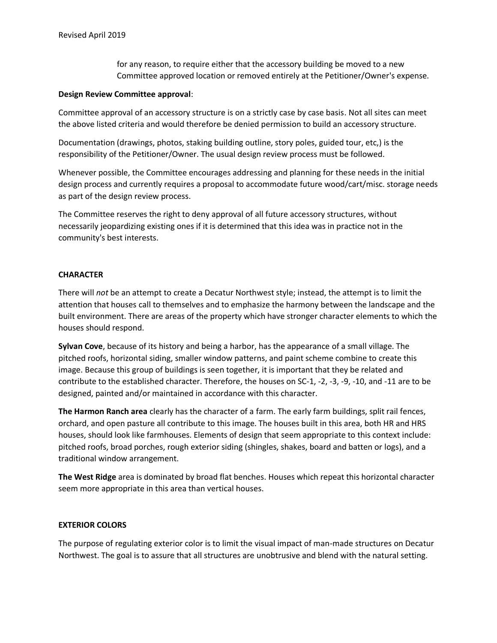for any reason, to require either that the accessory building be moved to a new Committee approved location or removed entirely at the Petitioner/Owner's expense.

## **Design Review Committee approval**:

Committee approval of an accessory structure is on a strictly case by case basis. Not all sites can meet the above listed criteria and would therefore be denied permission to build an accessory structure.

Documentation (drawings, photos, staking building outline, story poles, guided tour, etc,) is the responsibility of the Petitioner/Owner. The usual design review process must be followed.

Whenever possible, the Committee encourages addressing and planning for these needs in the initial design process and currently requires a proposal to accommodate future wood/cart/misc. storage needs as part of the design review process.

The Committee reserves the right to deny approval of all future accessory structures, without necessarily jeopardizing existing ones if it is determined that this idea was in practice not in the community's best interests.

# **CHARACTER**

There will *not* be an attempt to create a Decatur Northwest style; instead, the attempt is to limit the attention that houses call to themselves and to emphasize the harmony between the landscape and the built environment. There are areas of the property which have stronger character elements to which the houses should respond.

**Sylvan Cove**, because of its history and being a harbor, has the appearance of a small village. The pitched roofs, horizontal siding, smaller window patterns, and paint scheme combine to create this image. Because this group of buildings is seen together, it is important that they be related and contribute to the established character. Therefore, the houses on SC-1, -2, -3, -9, -10, and -11 are to be designed, painted and/or maintained in accordance with this character.

**The Harmon Ranch area** clearly has the character of a farm. The early farm buildings, split rail fences, orchard, and open pasture all contribute to this image. The houses built in this area, both HR and HRS houses, should look like farmhouses. Elements of design that seem appropriate to this context include: pitched roofs, broad porches, rough exterior siding (shingles, shakes, board and batten or logs), and a traditional window arrangement.

**The West Ridge** area is dominated by broad flat benches. Houses which repeat this horizontal character seem more appropriate in this area than vertical houses.

# **EXTERIOR COLORS**

The purpose of regulating exterior color is to limit the visual impact of man-made structures on Decatur Northwest. The goal is to assure that all structures are unobtrusive and blend with the natural setting.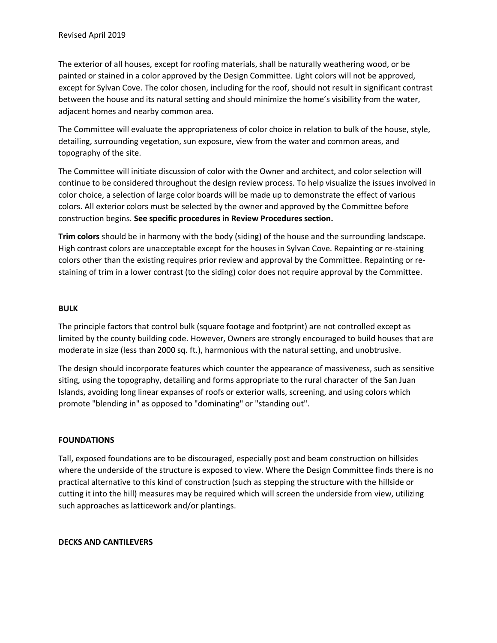The exterior of all houses, except for roofing materials, shall be naturally weathering wood, or be painted or stained in a color approved by the Design Committee. Light colors will not be approved, except for Sylvan Cove. The color chosen, including for the roof, should not result in significant contrast between the house and its natural setting and should minimize the home's visibility from the water, adjacent homes and nearby common area.

The Committee will evaluate the appropriateness of color choice in relation to bulk of the house, style, detailing, surrounding vegetation, sun exposure, view from the water and common areas, and topography of the site.

The Committee will initiate discussion of color with the Owner and architect, and color selection will continue to be considered throughout the design review process. To help visualize the issues involved in color choice, a selection of large color boards will be made up to demonstrate the effect of various colors. All exterior colors must be selected by the owner and approved by the Committee before construction begins. **See specific procedures in Review Procedures section.**

**Trim colors** should be in harmony with the body (siding) of the house and the surrounding landscape. High contrast colors are unacceptable except for the houses in Sylvan Cove. Repainting or re-staining colors other than the existing requires prior review and approval by the Committee. Repainting or restaining of trim in a lower contrast (to the siding) color does not require approval by the Committee.

# **BULK**

The principle factors that control bulk (square footage and footprint) are not controlled except as limited by the county building code. However, Owners are strongly encouraged to build houses that are moderate in size (less than 2000 sq. ft.), harmonious with the natural setting, and unobtrusive.

The design should incorporate features which counter the appearance of massiveness, such as sensitive siting, using the topography, detailing and forms appropriate to the rural character of the San Juan Islands, avoiding long linear expanses of roofs or exterior walls, screening, and using colors which promote "blending in" as opposed to "dominating" or "standing out".

# **FOUNDATIONS**

Tall, exposed foundations are to be discouraged, especially post and beam construction on hillsides where the underside of the structure is exposed to view. Where the Design Committee finds there is no practical alternative to this kind of construction (such as stepping the structure with the hillside or cutting it into the hill) measures may be required which will screen the underside from view, utilizing such approaches as latticework and/or plantings.

# **DECKS AND CANTILEVERS**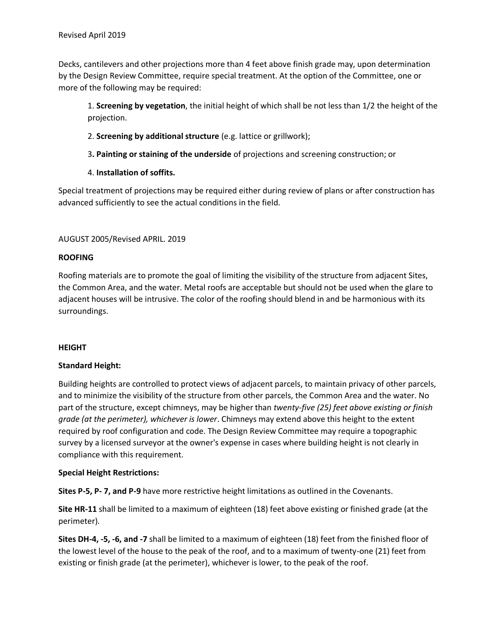Decks, cantilevers and other projections more than 4 feet above finish grade may, upon determination by the Design Review Committee, require special treatment. At the option of the Committee, one or more of the following may be required:

1. **Screening by vegetation**, the initial height of which shall be not less than 1/2 the height of the projection.

- 2. **Screening by additional structure** (e.g. lattice or grillwork);
- 3**. Painting or staining of the underside** of projections and screening construction; or
- 4. **Installation of soffits.**

Special treatment of projections may be required either during review of plans or after construction has advanced sufficiently to see the actual conditions in the field.

# AUGUST 2005/Revised APRIL. 2019

# **ROOFING**

Roofing materials are to promote the goal of limiting the visibility of the structure from adjacent Sites, the Common Area, and the water. Metal roofs are acceptable but should not be used when the glare to adjacent houses will be intrusive. The color of the roofing should blend in and be harmonious with its surroundings.

# **HEIGHT**

# **Standard Height:**

Building heights are controlled to protect views of adjacent parcels, to maintain privacy of other parcels, and to minimize the visibility of the structure from other parcels, the Common Area and the water. No part of the structure, except chimneys, may be higher than *twenty-five (25) feet above existing or finish grade (at the perimeter), whichever is lower*. Chimneys may extend above this height to the extent required by roof configuration and code. The Design Review Committee may require a topographic survey by a licensed surveyor at the owner's expense in cases where building height is not clearly in compliance with this requirement.

# **Special Height Restrictions:**

**Sites P-5, P- 7, and P-9** have more restrictive height limitations as outlined in the Covenants.

**Site HR-11** shall be limited to a maximum of eighteen (18) feet above existing or finished grade (at the perimeter).

**Sites DH-4, -5, -6, and -7** shall be limited to a maximum of eighteen (18) feet from the finished floor of the lowest level of the house to the peak of the roof, and to a maximum of twenty-one (21) feet from existing or finish grade (at the perimeter), whichever is lower, to the peak of the roof.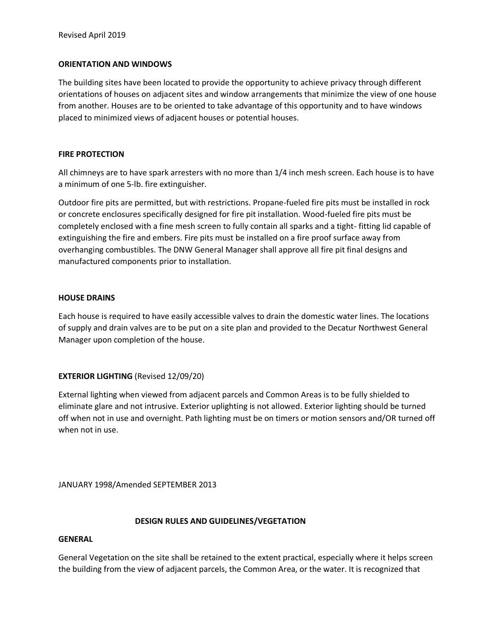# **ORIENTATION AND WINDOWS**

The building sites have been located to provide the opportunity to achieve privacy through different orientations of houses on adjacent sites and window arrangements that minimize the view of one house from another. Houses are to be oriented to take advantage of this opportunity and to have windows placed to minimized views of adjacent houses or potential houses.

## **FIRE PROTECTION**

All chimneys are to have spark arresters with no more than 1/4 inch mesh screen. Each house is to have a minimum of one 5-lb. fire extinguisher.

Outdoor fire pits are permitted, but with restrictions. Propane-fueled fire pits must be installed in rock or concrete enclosures specifically designed for fire pit installation. Wood-fueled fire pits must be completely enclosed with a fine mesh screen to fully contain all sparks and a tight- fitting lid capable of extinguishing the fire and embers. Fire pits must be installed on a fire proof surface away from overhanging combustibles. The DNW General Manager shall approve all fire pit final designs and manufactured components prior to installation.

## **HOUSE DRAINS**

Each house is required to have easily accessible valves to drain the domestic water lines. The locations of supply and drain valves are to be put on a site plan and provided to the Decatur Northwest General Manager upon completion of the house.

# **EXTERIOR LIGHTING** (Revised 12/09/20)

External lighting when viewed from adjacent parcels and Common Areas is to be fully shielded to eliminate glare and not intrusive. Exterior uplighting is not allowed. Exterior lighting should be turned off when not in use and overnight. Path lighting must be on timers or motion sensors and/OR turned off when not in use.

JANUARY 1998/Amended SEPTEMBER 2013

# **DESIGN RULES AND GUIDELINES/VEGETATION**

# **GENERAL**

General Vegetation on the site shall be retained to the extent practical, especially where it helps screen the building from the view of adjacent parcels, the Common Area, or the water. It is recognized that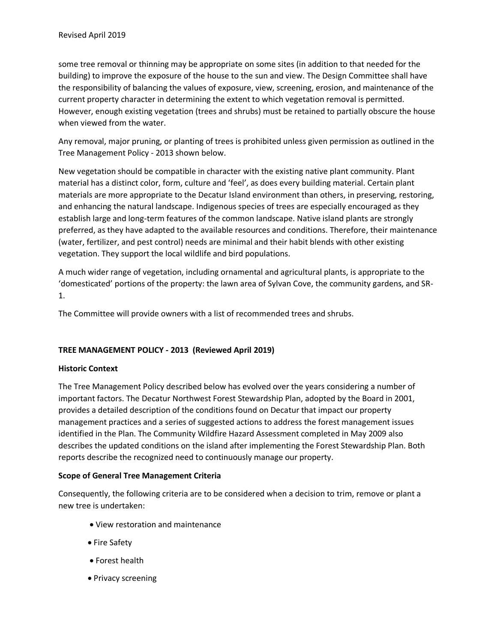some tree removal or thinning may be appropriate on some sites (in addition to that needed for the building) to improve the exposure of the house to the sun and view. The Design Committee shall have the responsibility of balancing the values of exposure, view, screening, erosion, and maintenance of the current property character in determining the extent to which vegetation removal is permitted. However, enough existing vegetation (trees and shrubs) must be retained to partially obscure the house when viewed from the water.

Any removal, major pruning, or planting of trees is prohibited unless given permission as outlined in the Tree Management Policy - 2013 shown below.

New vegetation should be compatible in character with the existing native plant community. Plant material has a distinct color, form, culture and 'feel', as does every building material. Certain plant materials are more appropriate to the Decatur Island environment than others, in preserving, restoring, and enhancing the natural landscape. Indigenous species of trees are especially encouraged as they establish large and long-term features of the common landscape. Native island plants are strongly preferred, as they have adapted to the available resources and conditions. Therefore, their maintenance (water, fertilizer, and pest control) needs are minimal and their habit blends with other existing vegetation. They support the local wildlife and bird populations.

A much wider range of vegetation, including ornamental and agricultural plants, is appropriate to the 'domesticated' portions of the property: the lawn area of Sylvan Cove, the community gardens, and SR-1.

The Committee will provide owners with a list of recommended trees and shrubs.

# **TREE MANAGEMENT POLICY - 2013 (Reviewed April 2019)**

# **Historic Context**

The Tree Management Policy described below has evolved over the years considering a number of important factors. The Decatur Northwest Forest Stewardship Plan, adopted by the Board in 2001, provides a detailed description of the conditions found on Decatur that impact our property management practices and a series of suggested actions to address the forest management issues identified in the Plan. The Community Wildfire Hazard Assessment completed in May 2009 also describes the updated conditions on the island after implementing the Forest Stewardship Plan. Both reports describe the recognized need to continuously manage our property.

# **Scope of General Tree Management Criteria**

Consequently, the following criteria are to be considered when a decision to trim, remove or plant a new tree is undertaken:

- View restoration and maintenance
- Fire Safety
- Forest health
- Privacy screening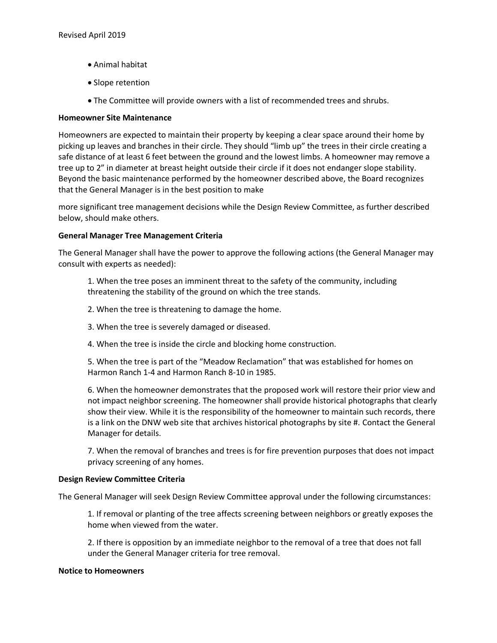- Animal habitat
- Slope retention
- The Committee will provide owners with a list of recommended trees and shrubs.

## **Homeowner Site Maintenance**

Homeowners are expected to maintain their property by keeping a clear space around their home by picking up leaves and branches in their circle. They should "limb up" the trees in their circle creating a safe distance of at least 6 feet between the ground and the lowest limbs. A homeowner may remove a tree up to 2" in diameter at breast height outside their circle if it does not endanger slope stability. Beyond the basic maintenance performed by the homeowner described above, the Board recognizes that the General Manager is in the best position to make

more significant tree management decisions while the Design Review Committee, as further described below, should make others.

## **General Manager Tree Management Criteria**

The General Manager shall have the power to approve the following actions (the General Manager may consult with experts as needed):

1. When the tree poses an imminent threat to the safety of the community, including threatening the stability of the ground on which the tree stands.

- 2. When the tree is threatening to damage the home.
- 3. When the tree is severely damaged or diseased.
- 4. When the tree is inside the circle and blocking home construction.

5. When the tree is part of the "Meadow Reclamation" that was established for homes on Harmon Ranch 1-4 and Harmon Ranch 8-10 in 1985.

6. When the homeowner demonstrates that the proposed work will restore their prior view and not impact neighbor screening. The homeowner shall provide historical photographs that clearly show their view. While it is the responsibility of the homeowner to maintain such records, there is a link on the DNW web site that archives historical photographs by site #. Contact the General Manager for details.

7. When the removal of branches and trees is for fire prevention purposes that does not impact privacy screening of any homes.

## **Design Review Committee Criteria**

The General Manager will seek Design Review Committee approval under the following circumstances:

1. If removal or planting of the tree affects screening between neighbors or greatly exposes the home when viewed from the water.

2. If there is opposition by an immediate neighbor to the removal of a tree that does not fall under the General Manager criteria for tree removal.

### **Notice to Homeowners**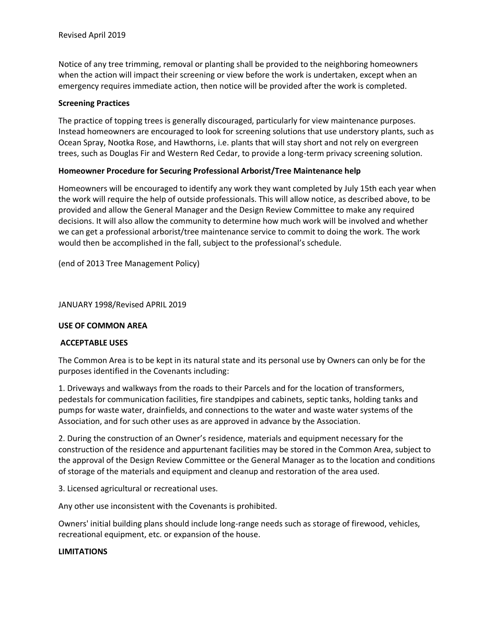Notice of any tree trimming, removal or planting shall be provided to the neighboring homeowners when the action will impact their screening or view before the work is undertaken, except when an emergency requires immediate action, then notice will be provided after the work is completed.

## **Screening Practices**

The practice of topping trees is generally discouraged, particularly for view maintenance purposes. Instead homeowners are encouraged to look for screening solutions that use understory plants, such as Ocean Spray, Nootka Rose, and Hawthorns, i.e. plants that will stay short and not rely on evergreen trees, such as Douglas Fir and Western Red Cedar, to provide a long-term privacy screening solution.

## **Homeowner Procedure for Securing Professional Arborist/Tree Maintenance help**

Homeowners will be encouraged to identify any work they want completed by July 15th each year when the work will require the help of outside professionals. This will allow notice, as described above, to be provided and allow the General Manager and the Design Review Committee to make any required decisions. It will also allow the community to determine how much work will be involved and whether we can get a professional arborist/tree maintenance service to commit to doing the work. The work would then be accomplished in the fall, subject to the professional's schedule.

(end of 2013 Tree Management Policy)

JANUARY 1998/Revised APRIL 2019

## **USE OF COMMON AREA**

# **ACCEPTABLE USES**

The Common Area is to be kept in its natural state and its personal use by Owners can only be for the purposes identified in the Covenants including:

1. Driveways and walkways from the roads to their Parcels and for the location of transformers, pedestals for communication facilities, fire standpipes and cabinets, septic tanks, holding tanks and pumps for waste water, drainfields, and connections to the water and waste water systems of the Association, and for such other uses as are approved in advance by the Association.

2. During the construction of an Owner's residence, materials and equipment necessary for the construction of the residence and appurtenant facilities may be stored in the Common Area, subject to the approval of the Design Review Committee or the General Manager as to the location and conditions of storage of the materials and equipment and cleanup and restoration of the area used.

3. Licensed agricultural or recreational uses.

Any other use inconsistent with the Covenants is prohibited.

Owners' initial building plans should include long-range needs such as storage of firewood, vehicles, recreational equipment, etc. or expansion of the house.

### **LIMITATIONS**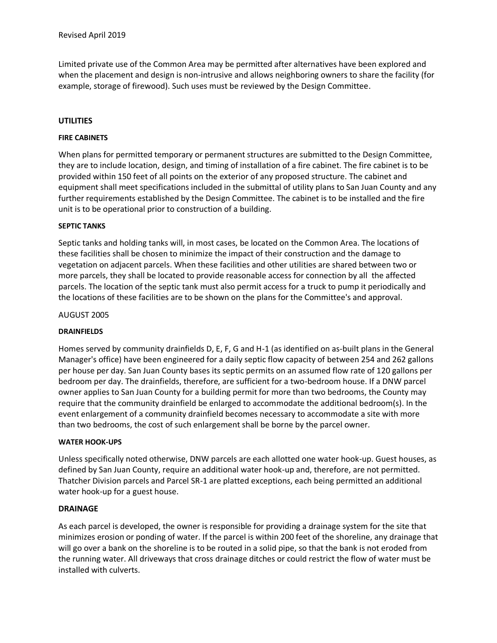Limited private use of the Common Area may be permitted after alternatives have been explored and when the placement and design is non-intrusive and allows neighboring owners to share the facility (for example, storage of firewood). Such uses must be reviewed by the Design Committee.

# **UTILITIES**

## **FIRE CABINETS**

When plans for permitted temporary or permanent structures are submitted to the Design Committee, they are to include location, design, and timing of installation of a fire cabinet. The fire cabinet is to be provided within 150 feet of all points on the exterior of any proposed structure. The cabinet and equipment shall meet specifications included in the submittal of utility plans to San Juan County and any further requirements established by the Design Committee. The cabinet is to be installed and the fire unit is to be operational prior to construction of a building.

## **SEPTIC TANKS**

Septic tanks and holding tanks will, in most cases, be located on the Common Area. The locations of these facilities shall be chosen to minimize the impact of their construction and the damage to vegetation on adjacent parcels. When these facilities and other utilities are shared between two or more parcels, they shall be located to provide reasonable access for connection by all the affected parcels. The location of the septic tank must also permit access for a truck to pump it periodically and the locations of these facilities are to be shown on the plans for the Committee's and approval.

## AUGUST 2005

### **DRAINFIELDS**

Homes served by community drainfields D, E, F, G and H-1 (as identified on as-built plans in the General Manager's office) have been engineered for a daily septic flow capacity of between 254 and 262 gallons per house per day. San Juan County bases its septic permits on an assumed flow rate of 120 gallons per bedroom per day. The drainfields, therefore, are sufficient for a two-bedroom house. If a DNW parcel owner applies to San Juan County for a building permit for more than two bedrooms, the County may require that the community drainfield be enlarged to accommodate the additional bedroom(s). In the event enlargement of a community drainfield becomes necessary to accommodate a site with more than two bedrooms, the cost of such enlargement shall be borne by the parcel owner.

### **WATER HOOK-UPS**

Unless specifically noted otherwise, DNW parcels are each allotted one water hook-up. Guest houses, as defined by San Juan County, require an additional water hook-up and, therefore, are not permitted. Thatcher Division parcels and Parcel SR-1 are platted exceptions, each being permitted an additional water hook-up for a guest house.

# **DRAINAGE**

As each parcel is developed, the owner is responsible for providing a drainage system for the site that minimizes erosion or ponding of water. If the parcel is within 200 feet of the shoreline, any drainage that will go over a bank on the shoreline is to be routed in a solid pipe, so that the bank is not eroded from the running water. All driveways that cross drainage ditches or could restrict the flow of water must be installed with culverts.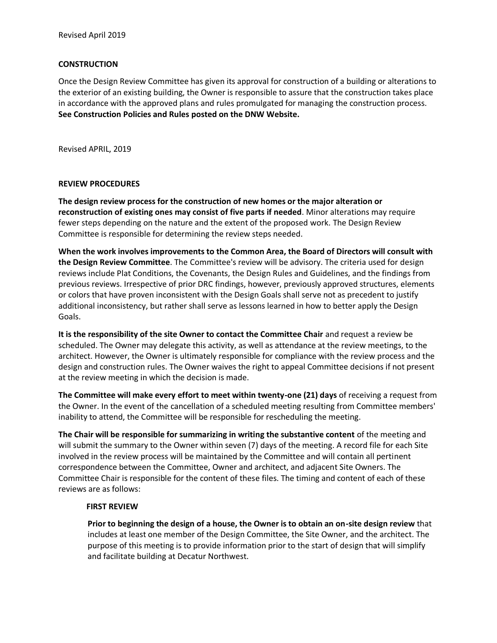## **CONSTRUCTION**

Once the Design Review Committee has given its approval for construction of a building or alterations to the exterior of an existing building, the Owner is responsible to assure that the construction takes place in accordance with the approved plans and rules promulgated for managing the construction process. **See Construction Policies and Rules posted on the DNW Website.**

Revised APRIL, 2019

## **REVIEW PROCEDURES**

**The design review process for the construction of new homes or the major alteration or reconstruction of existing ones may consist of five parts if needed**. Minor alterations may require fewer steps depending on the nature and the extent of the proposed work. The Design Review Committee is responsible for determining the review steps needed.

**When the work involves improvements to the Common Area, the Board of Directors will consult with the Design Review Committee**. The Committee's review will be advisory. The criteria used for design reviews include Plat Conditions, the Covenants, the Design Rules and Guidelines, and the findings from previous reviews. Irrespective of prior DRC findings, however, previously approved structures, elements or colors that have proven inconsistent with the Design Goals shall serve not as precedent to justify additional inconsistency, but rather shall serve as lessons learned in how to better apply the Design Goals.

**It is the responsibility of the site Owner to contact the Committee Chair** and request a review be scheduled. The Owner may delegate this activity, as well as attendance at the review meetings, to the architect. However, the Owner is ultimately responsible for compliance with the review process and the design and construction rules. The Owner waives the right to appeal Committee decisions if not present at the review meeting in which the decision is made.

**The Committee will make every effort to meet within twenty-one (21) days** of receiving a request from the Owner. In the event of the cancellation of a scheduled meeting resulting from Committee members' inability to attend, the Committee will be responsible for rescheduling the meeting.

**The Chair will be responsible for summarizing in writing the substantive content** of the meeting and will submit the summary to the Owner within seven (7) days of the meeting. A record file for each Site involved in the review process will be maintained by the Committee and will contain all pertinent correspondence between the Committee, Owner and architect, and adjacent Site Owners. The Committee Chair is responsible for the content of these files. The timing and content of each of these reviews are as follows:

### **FIRST REVIEW**

**Prior to beginning the design of a house, the Owner is to obtain an on-site design review** that includes at least one member of the Design Committee, the Site Owner, and the architect. The purpose of this meeting is to provide information prior to the start of design that will simplify and facilitate building at Decatur Northwest.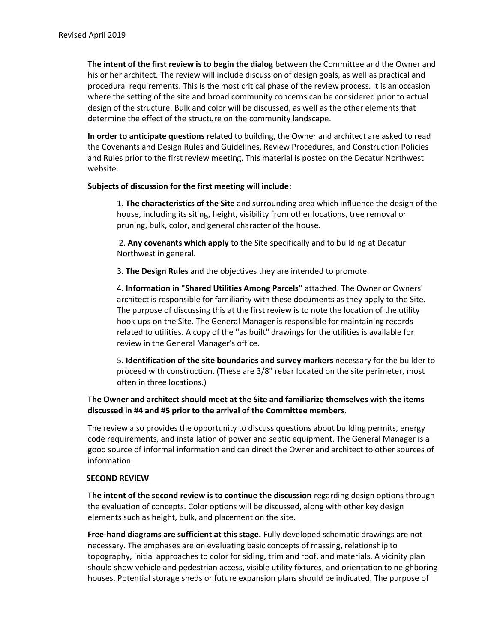**The intent of the first review is to begin the dialog** between the Committee and the Owner and his or her architect. The review will include discussion of design goals, as well as practical and procedural requirements. This is the most critical phase of the review process. It is an occasion where the setting of the site and broad community concerns can be considered prior to actual design of the structure. Bulk and color will be discussed, as well as the other elements that determine the effect of the structure on the community landscape.

**In order to anticipate questions** related to building, the Owner and architect are asked to read the Covenants and Design Rules and Guidelines, Review Procedures, and Construction Policies and Rules prior to the first review meeting. This material is posted on the Decatur Northwest website.

### **Subjects of discussion for the first meeting will include**:

1. **The characteristics of the Site** and surrounding area which influence the design of the house, including its siting, height, visibility from other locations, tree removal or pruning, bulk, color, and general character of the house.

2. **Any covenants which apply** to the Site specifically and to building at Decatur Northwest in general.

3. **The Design Rules** and the objectives they are intended to promote.

4**. Information in "Shared Utilities Among Parcels"** attached. The Owner or Owners' architect is responsible for familiarity with these documents as they apply to the Site. The purpose of discussing this at the first review is to note the location of the utility hook-ups on the Site. The General Manager is responsible for maintaining records related to utilities. A copy of the ''as built" drawings for the utilities is available for review in the General Manager's office.

5. **Identification of the site boundaries and survey markers** necessary for the builder to proceed with construction. (These are 3/8" rebar located on the site perimeter, most often in three locations.)

# **The Owner and architect should meet at the Site and familiarize themselves with the items discussed in #4 and #5 prior to the arrival of the Committee members.**

The review also provides the opportunity to discuss questions about building permits, energy code requirements, and installation of power and septic equipment. The General Manager is a good source of informal information and can direct the Owner and architect to other sources of information.

#### **SECOND REVIEW**

**The intent of the second review is to continue the discussion** regarding design options through the evaluation of concepts. Color options will be discussed, along with other key design elements such as height, bulk, and placement on the site.

**Free-hand diagrams are sufficient at this stage.** Fully developed schematic drawings are not necessary. The emphases are on evaluating basic concepts of massing, relationship to topography, initial approaches to color for siding, trim and roof, and materials. A vicinity plan should show vehicle and pedestrian access, visible utility fixtures, and orientation to neighboring houses. Potential storage sheds or future expansion plans should be indicated. The purpose of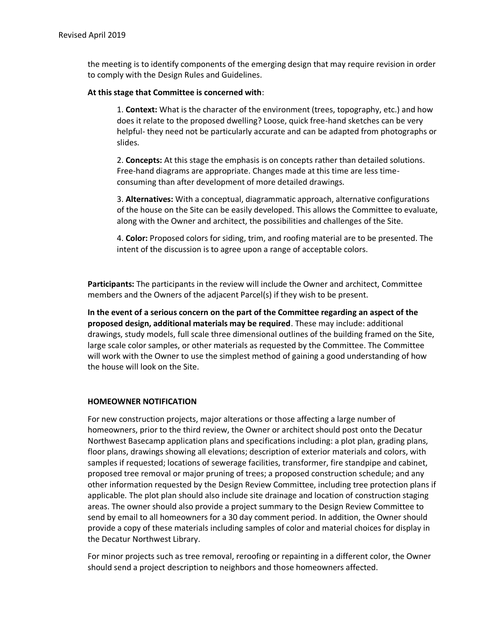the meeting is to identify components of the emerging design that may require revision in order to comply with the Design Rules and Guidelines.

## **At this stage that Committee is concerned with**:

1. **Context:** What is the character of the environment (trees, topography, etc.) and how does it relate to the proposed dwelling? Loose, quick free-hand sketches can be very helpful- they need not be particularly accurate and can be adapted from photographs or slides.

2. **Concepts:** At this stage the emphasis is on concepts rather than detailed solutions. Free-hand diagrams are appropriate. Changes made at this time are less timeconsuming than after development of more detailed drawings.

3. **Alternatives:** With a conceptual, diagrammatic approach, alternative configurations of the house on the Site can be easily developed. This allows the Committee to evaluate, along with the Owner and architect, the possibilities and challenges of the Site.

4. **Color:** Proposed colors for siding, trim, and roofing material are to be presented. The intent of the discussion is to agree upon a range of acceptable colors.

**Participants:** The participants in the review will include the Owner and architect, Committee members and the Owners of the adjacent Parcel(s) if they wish to be present.

**In the event of a serious concern on the part of the Committee regarding an aspect of the proposed design, additional materials may be required**. These may include: additional drawings, study models, full scale three dimensional outlines of the building framed on the Site, large scale color samples, or other materials as requested by the Committee. The Committee will work with the Owner to use the simplest method of gaining a good understanding of how the house will look on the Site.

# **HOMEOWNER NOTIFICATION**

For new construction projects, major alterations or those affecting a large number of homeowners, prior to the third review, the Owner or architect should post onto the Decatur Northwest Basecamp application plans and specifications including: a plot plan, grading plans, floor plans, drawings showing all elevations; description of exterior materials and colors, with samples if requested; locations of sewerage facilities, transformer, fire standpipe and cabinet, proposed tree removal or major pruning of trees; a proposed construction schedule; and any other information requested by the Design Review Committee, including tree protection plans if applicable. The plot plan should also include site drainage and location of construction staging areas. The owner should also provide a project summary to the Design Review Committee to send by email to all homeowners for a 30 day comment period. In addition, the Owner should provide a copy of these materials including samples of color and material choices for display in the Decatur Northwest Library.

For minor projects such as tree removal, reroofing or repainting in a different color, the Owner should send a project description to neighbors and those homeowners affected.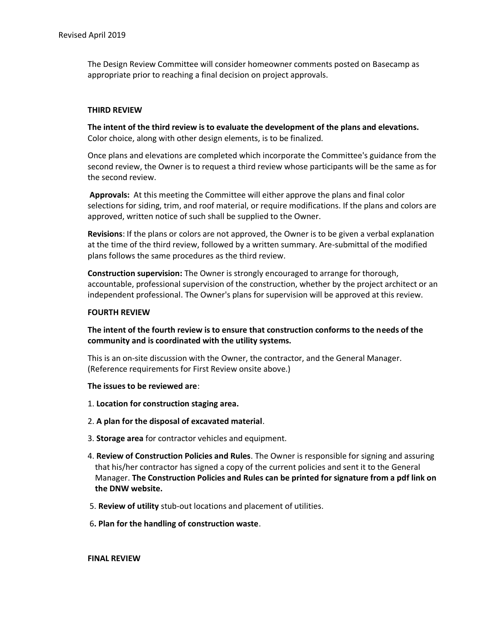The Design Review Committee will consider homeowner comments posted on Basecamp as appropriate prior to reaching a final decision on project approvals.

#### **THIRD REVIEW**

**The intent of the third review is to evaluate the development of the plans and elevations.** Color choice, along with other design elements, is to be finalized.

Once plans and elevations are completed which incorporate the Committee's guidance from the second review, the Owner is to request a third review whose participants will be the same as for the second review.

**Approvals:** At this meeting the Committee will either approve the plans and final color selections for siding, trim, and roof material, or require modifications. If the plans and colors are approved, written notice of such shall be supplied to the Owner.

**Revisions**: If the plans or colors are not approved, the Owner is to be given a verbal explanation at the time of the third review, followed by a written summary. Are-submittal of the modified plans follows the same procedures as the third review.

**Construction supervision:** The Owner is strongly encouraged to arrange for thorough, accountable, professional supervision of the construction, whether by the project architect or an independent professional. The Owner's plans for supervision will be approved at this review.

#### **FOURTH REVIEW**

**The intent of the fourth review is to ensure that construction conforms to the needs of the community and is coordinated with the utility systems.**

This is an on-site discussion with the Owner, the contractor, and the General Manager. (Reference requirements for First Review onsite above.)

#### **The issues to be reviewed are**:

- 1. **Location for construction staging area.**
- 2. **A plan for the disposal of excavated material**.
- 3. **Storage area** for contractor vehicles and equipment.
- 4. **Review of Construction Policies and Rules**. The Owner is responsible for signing and assuring that his/her contractor has signed a copy of the current policies and sent it to the General Manager. **The Construction Policies and Rules can be printed for signature from a pdf link on the DNW website.**
- 5. **Review of utility** stub-out locations and placement of utilities.
- 6**. Plan for the handling of construction waste**.

#### **FINAL REVIEW**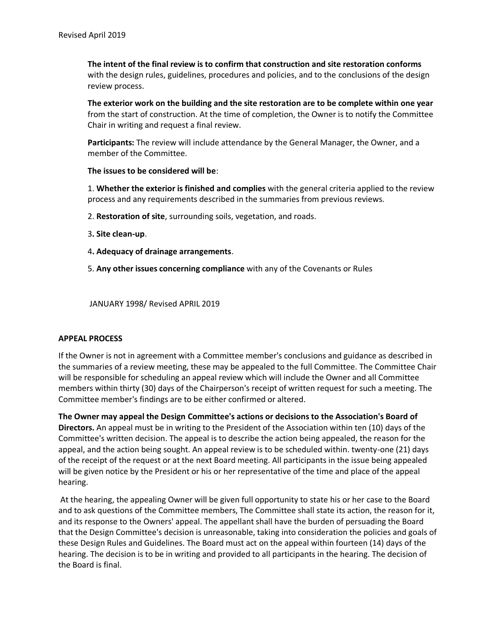**The intent of the final review is to confirm that construction and site restoration conforms** with the design rules, guidelines, procedures and policies, and to the conclusions of the design review process.

**The exterior work on the building and the site restoration are to be complete within one year** from the start of construction. At the time of completion, the Owner is to notify the Committee Chair in writing and request a final review.

**Participants:** The review will include attendance by the General Manager, the Owner, and a member of the Committee.

### **The issues to be considered will be**:

1. **Whether the exterior is finished and complies** with the general criteria applied to the review process and any requirements described in the summaries from previous reviews.

- 2. **Restoration of site**, surrounding soils, vegetation, and roads.
- 3**. Site clean-up**.
- 4**. Adequacy of drainage arrangements**.
- 5. **Any other issues concerning compliance** with any of the Covenants or Rules

JANUARY 1998/ Revised APRIL 2019

### **APPEAL PROCESS**

If the Owner is not in agreement with a Committee member's conclusions and guidance as described in the summaries of a review meeting, these may be appealed to the full Committee. The Committee Chair will be responsible for scheduling an appeal review which will include the Owner and all Committee members within thirty (30) days of the Chairperson's receipt of written request for such a meeting. The Committee member's findings are to be either confirmed or altered.

**The Owner may appeal the Design Committee's actions or decisions to the Association's Board of Directors.** An appeal must be in writing to the President of the Association within ten (10) days of the Committee's written decision. The appeal is to describe the action being appealed, the reason for the appeal, and the action being sought. An appeal review is to be scheduled within. twenty-one (21) days of the receipt of the request or at the next Board meeting. All participants in the issue being appealed will be given notice by the President or his or her representative of the time and place of the appeal hearing.

At the hearing, the appealing Owner will be given full opportunity to state his or her case to the Board and to ask questions of the Committee members, The Committee shall state its action, the reason for it, and its response to the Owners' appeal. The appellant shall have the burden of persuading the Board that the Design Committee's decision is unreasonable, taking into consideration the policies and goals of these Design Rules and Guidelines. The Board must act on the appeal within fourteen (14) days of the hearing. The decision is to be in writing and provided to all participants in the hearing. The decision of the Board is final.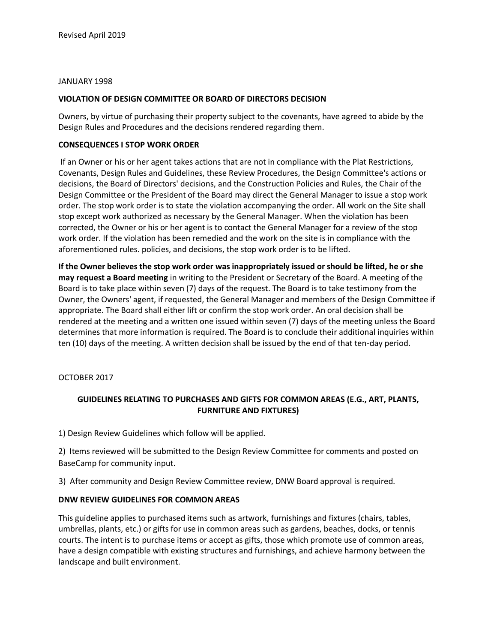### JANUARY 1998

## **VIOLATION OF DESIGN COMMITTEE OR BOARD OF DIRECTORS DECISION**

Owners, by virtue of purchasing their property subject to the covenants, have agreed to abide by the Design Rules and Procedures and the decisions rendered regarding them.

## **CONSEQUENCES I STOP WORK ORDER**

If an Owner or his or her agent takes actions that are not in compliance with the Plat Restrictions, Covenants, Design Rules and Guidelines, these Review Procedures, the Design Committee's actions or decisions, the Board of Directors' decisions, and the Construction Policies and Rules, the Chair of the Design Committee or the President of the Board may direct the General Manager to issue a stop work order. The stop work order is to state the violation accompanying the order. All work on the Site shall stop except work authorized as necessary by the General Manager. When the violation has been corrected, the Owner or his or her agent is to contact the General Manager for a review of the stop work order. If the violation has been remedied and the work on the site is in compliance with the aforementioned rules. policies, and decisions, the stop work order is to be lifted.

**If the Owner believes the stop work order was inappropriately issued or should be lifted, he or she may request a Board meeting** in writing to the President or Secretary of the Board. A meeting of the Board is to take place within seven (7) days of the request. The Board is to take testimony from the Owner, the Owners' agent, if requested, the General Manager and members of the Design Committee if appropriate. The Board shall either lift or confirm the stop work order. An oral decision shall be rendered at the meeting and a written one issued within seven (7) days of the meeting unless the Board determines that more information is required. The Board is to conclude their additional inquiries within ten (10) days of the meeting. A written decision shall be issued by the end of that ten-day period.

OCTOBER 2017

# **GUIDELINES RELATING TO PURCHASES AND GIFTS FOR COMMON AREAS (E.G., ART, PLANTS, FURNITURE AND FIXTURES)**

1) Design Review Guidelines which follow will be applied.

2) Items reviewed will be submitted to the Design Review Committee for comments and posted on BaseCamp for community input.

3) After community and Design Review Committee review, DNW Board approval is required.

# **DNW REVIEW GUIDELINES FOR COMMON AREAS**

This guideline applies to purchased items such as artwork, furnishings and fixtures (chairs, tables, umbrellas, plants, etc.) or gifts for use in common areas such as gardens, beaches, docks, or tennis courts. The intent is to purchase items or accept as gifts, those which promote use of common areas, have a design compatible with existing structures and furnishings, and achieve harmony between the landscape and built environment.